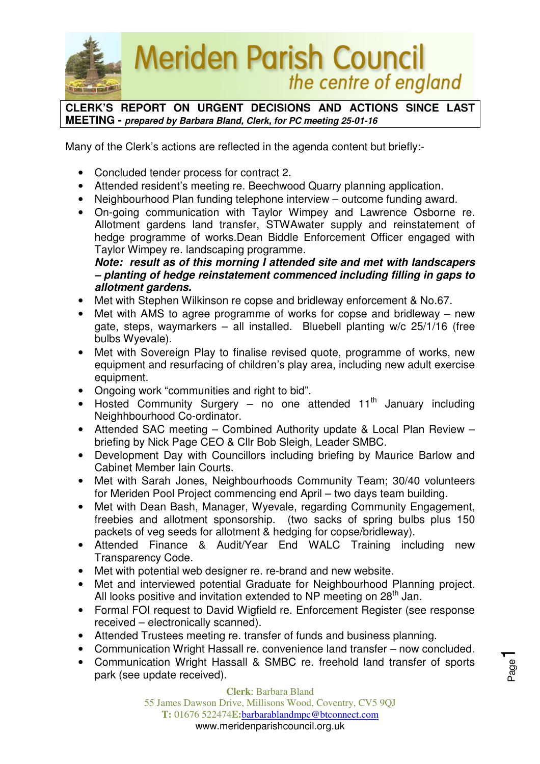

**CLERK'S REPORT ON URGENT DECISIONS AND ACTIONS SINCE LAST MEETING - prepared by Barbara Bland, Clerk, for PC meeting 25-01-16** 

Many of the Clerk's actions are reflected in the agenda content but briefly:-

- Concluded tender process for contract 2.
- Attended resident's meeting re. Beechwood Quarry planning application.
- Neighbourhood Plan funding telephone interview outcome funding award.
- On-going communication with Taylor Wimpey and Lawrence Osborne re. Allotment gardens land transfer, STWAwater supply and reinstatement of hedge programme of works.Dean Biddle Enforcement Officer engaged with Taylor Wimpey re. landscaping programme.

**Note: result as of this morning I attended site and met with landscapers – planting of hedge reinstatement commenced including filling in gaps to allotment gardens.** 

- Met with Stephen Wilkinson re copse and bridleway enforcement & No.67.
- Met with AMS to agree programme of works for copse and bridleway new gate, steps, waymarkers – all installed. Bluebell planting w/c 25/1/16 (free bulbs Wyevale).
- Met with Sovereign Play to finalise revised quote, programme of works, new equipment and resurfacing of children's play area, including new adult exercise equipment.
- Ongoing work "communities and right to bid".
- Hosted Community Surgery no one attended  $11<sup>th</sup>$  January including Neighhbourhood Co-ordinator.
- Attended SAC meeting Combined Authority update & Local Plan Review briefing by Nick Page CEO & Cllr Bob Sleigh, Leader SMBC.
- Development Day with Councillors including briefing by Maurice Barlow and Cabinet Member Iain Courts.
- Met with Sarah Jones, Neighbourhoods Community Team; 30/40 volunteers for Meriden Pool Project commencing end April – two days team building.
- Met with Dean Bash, Manager, Wyevale, regarding Community Engagement, freebies and allotment sponsorship. (two sacks of spring bulbs plus 150 packets of veg seeds for allotment & hedging for copse/bridleway).
- Attended Finance & Audit/Year End WALC Training including new Transparency Code.
- Met with potential web designer re. re-brand and new website.
- Met and interviewed potential Graduate for Neighbourhood Planning project. All looks positive and invitation extended to NP meeting on 28<sup>th</sup> Jan.
- Formal FOI request to David Wigfield re. Enforcement Register (see response received – electronically scanned).
- Attended Trustees meeting re. transfer of funds and business planning.
- Communication Wright Hassall re. convenience land transfer now concluded.
- Communication Wright Hassall & SMBC re. freehold land transfer of sports park (see update received).